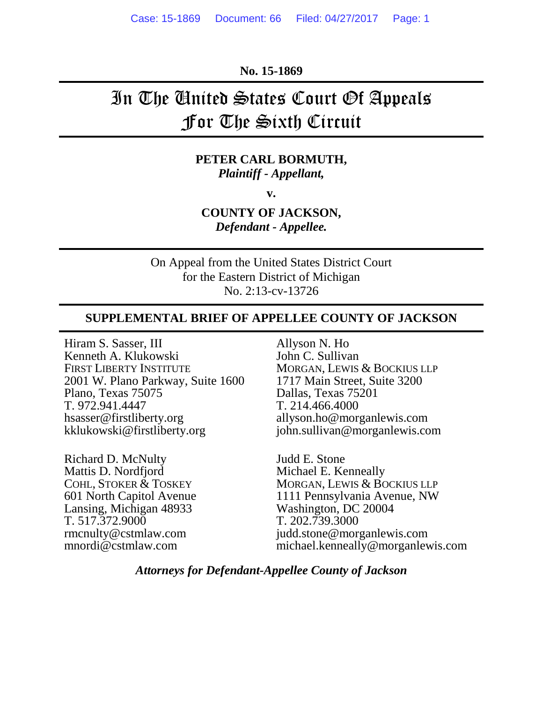**No. 15-1869** 

# In The United States Court Of Appeals For The Sixth Circuit

#### **PETER CARL BORMUTH,**  *Plaintiff - Appellant,*

**v.** 

**COUNTY OF JACKSON,**  *Defendant - Appellee.* 

On Appeal from the United States District Court for the Eastern District of Michigan No. 2:13-cv-13726

#### **SUPPLEMENTAL BRIEF OF APPELLEE COUNTY OF JACKSON**

Hiram S. Sasser, III Kenneth A. Klukowski FIRST LIBERTY INSTITUTE 2001 W. Plano Parkway, Suite 1600 Plano, Texas 75075 T. 972.941.4447 hsasser@firstliberty.org kklukowski@firstliberty.org

Richard D. McNulty Mattis D. Nordfjord COHL, STOKER & TOSKEY 601 North Capitol Avenue Lansing, Michigan 48933 T. 517.372.9000 rmcnulty@cstmlaw.com mnordi@cstmlaw.com

Allyson N. Ho John C. Sullivan MORGAN, LEWIS & BOCKIUS LLP 1717 Main Street, Suite 3200 Dallas, Texas 75201 T. 214.466.4000 allyson.ho@morganlewis.com john.sullivan@morganlewis.com

Judd E. Stone Michael E. Kenneally MORGAN, LEWIS & BOCKIUS LLP 1111 Pennsylvania Avenue, NW Washington, DC 20004 T. 202.739.3000 judd.stone@morganlewis.com michael.kenneally@morganlewis.com

#### *Attorneys for Defendant-Appellee County of Jackson*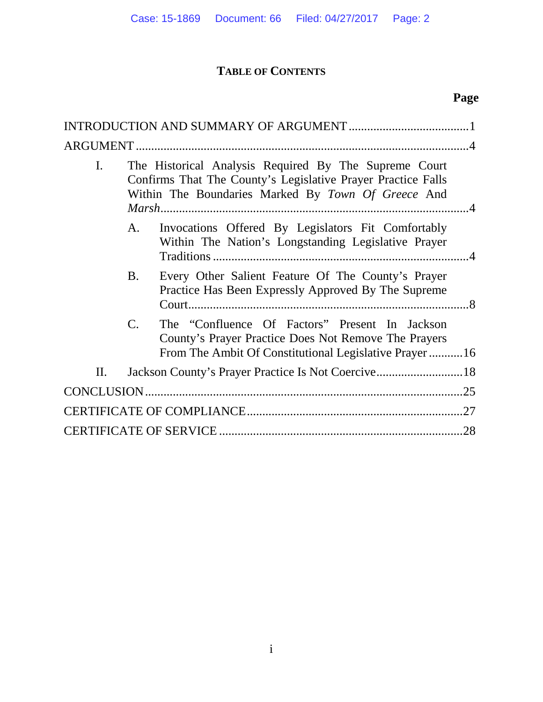## **TABLE OF CONTENTS**

| $\mathbf{I}$ . | The Historical Analysis Required By The Supreme Court<br>Confirms That The County's Legislative Prayer Practice Falls<br>Within The Boundaries Marked By Town Of Greece And |                                                                                                                                                                 |  |
|----------------|-----------------------------------------------------------------------------------------------------------------------------------------------------------------------------|-----------------------------------------------------------------------------------------------------------------------------------------------------------------|--|
|                | A.                                                                                                                                                                          | Invocations Offered By Legislators Fit Comfortably<br>Within The Nation's Longstanding Legislative Prayer                                                       |  |
|                | <b>B.</b>                                                                                                                                                                   | Every Other Salient Feature Of The County's Prayer<br>Practice Has Been Expressly Approved By The Supreme                                                       |  |
|                | $\mathcal{C}$ .                                                                                                                                                             | The "Confluence Of Factors" Present In Jackson<br>County's Prayer Practice Does Not Remove The Prayers<br>From The Ambit Of Constitutional Legislative Prayer16 |  |
| П.             |                                                                                                                                                                             |                                                                                                                                                                 |  |
|                |                                                                                                                                                                             | .25                                                                                                                                                             |  |
|                |                                                                                                                                                                             |                                                                                                                                                                 |  |
|                |                                                                                                                                                                             |                                                                                                                                                                 |  |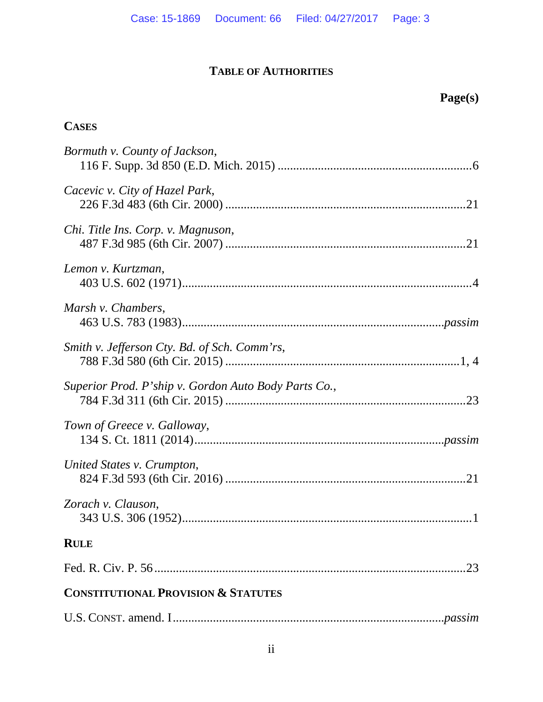## **TABLE OF AUTHORITIES**

## **Page(s)**

## **CASES**

| Bormuth v. County of Jackson,                        |
|------------------------------------------------------|
| Cacevic v. City of Hazel Park,                       |
| Chi. Title Ins. Corp. v. Magnuson,                   |
| Lemon v. Kurtzman,                                   |
| Marsh v. Chambers,                                   |
| Smith v. Jefferson Cty. Bd. of Sch. Comm'rs,         |
| Superior Prod. P'ship v. Gordon Auto Body Parts Co., |
| Town of Greece v. Galloway,                          |
| United States v. Crumpton,                           |
| Zorach v. Clauson,                                   |
| <b>RULE</b>                                          |
| .23                                                  |
| <b>CONSTITUTIONAL PROVISION &amp; STATUTES</b>       |
|                                                      |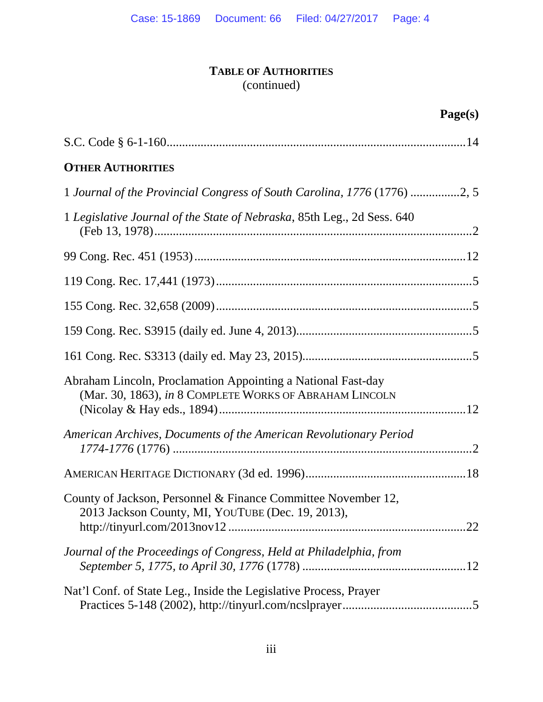## **TABLE OF AUTHORITIES** (continued)

## **Page(s)**

| <b>OTHER AUTHORITIES</b>                                                                                                |  |
|-------------------------------------------------------------------------------------------------------------------------|--|
| 1 Journal of the Provincial Congress of South Carolina, 1776 (1776) 2, 5                                                |  |
| 1 Legislative Journal of the State of Nebraska, 85th Leg., 2d Sess. 640                                                 |  |
|                                                                                                                         |  |
|                                                                                                                         |  |
|                                                                                                                         |  |
|                                                                                                                         |  |
|                                                                                                                         |  |
| Abraham Lincoln, Proclamation Appointing a National Fast-day<br>(Mar. 30, 1863), in 8 COMPLETE WORKS OF ABRAHAM LINCOLN |  |
| American Archives, Documents of the American Revolutionary Period                                                       |  |
|                                                                                                                         |  |
| County of Jackson, Personnel & Finance Committee November 12,<br>2013 Jackson County, MI, YOUTUBE (Dec. 19, 2013),      |  |
| Journal of the Proceedings of Congress, Held at Philadelphia, from                                                      |  |
| Nat'l Conf. of State Leg., Inside the Legislative Process, Prayer                                                       |  |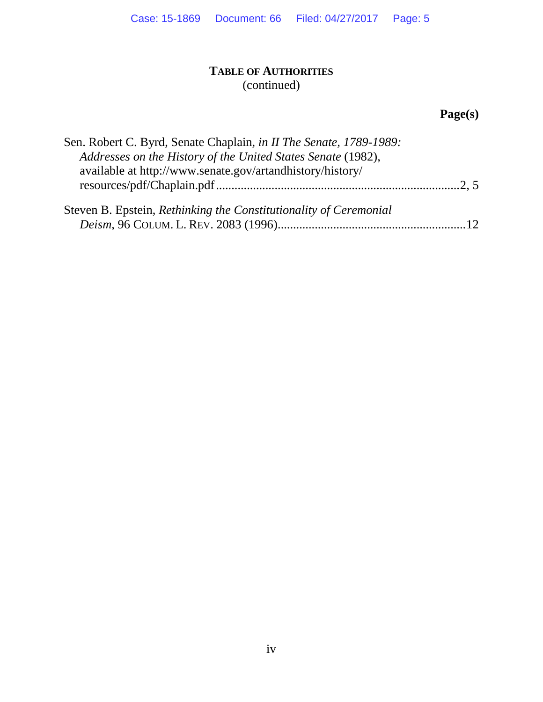### **TABLE OF AUTHORITIES** (continued)

## **Page(s)**

| Sen. Robert C. Byrd, Senate Chaplain, in II The Senate, 1789-1989: |  |
|--------------------------------------------------------------------|--|
| Addresses on the History of the United States Senate (1982),       |  |
| available at http://www.senate.gov/artandhistory/history/          |  |
|                                                                    |  |
| Steven B. Epstein, Rethinking the Constitutionality of Ceremonial  |  |
|                                                                    |  |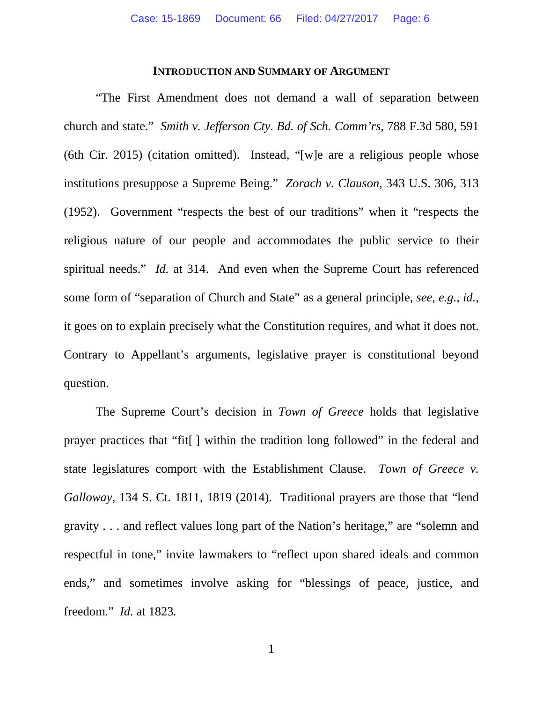#### **INTRODUCTION AND SUMMARY OF ARGUMENT**

"The First Amendment does not demand a wall of separation between church and state." *Smith v. Jefferson Cty. Bd. of Sch. Comm'rs*, 788 F.3d 580, 591 (6th Cir. 2015) (citation omitted). Instead, "[w]e are a religious people whose institutions presuppose a Supreme Being." *Zorach v. Clauson*, 343 U.S. 306, 313 (1952). Government "respects the best of our traditions" when it "respects the religious nature of our people and accommodates the public service to their spiritual needs." *Id.* at 314. And even when the Supreme Court has referenced some form of "separation of Church and State" as a general principle, *see, e.g.*, *id.*, it goes on to explain precisely what the Constitution requires, and what it does not. Contrary to Appellant's arguments, legislative prayer is constitutional beyond question.

The Supreme Court's decision in *Town of Greece* holds that legislative prayer practices that "fit[ ] within the tradition long followed" in the federal and state legislatures comport with the Establishment Clause. *Town of Greece v. Galloway*, 134 S. Ct. 1811, 1819 (2014). Traditional prayers are those that "lend gravity . . . and reflect values long part of the Nation's heritage," are "solemn and respectful in tone," invite lawmakers to "reflect upon shared ideals and common ends," and sometimes involve asking for "blessings of peace, justice, and freedom." *Id.* at 1823*.*

1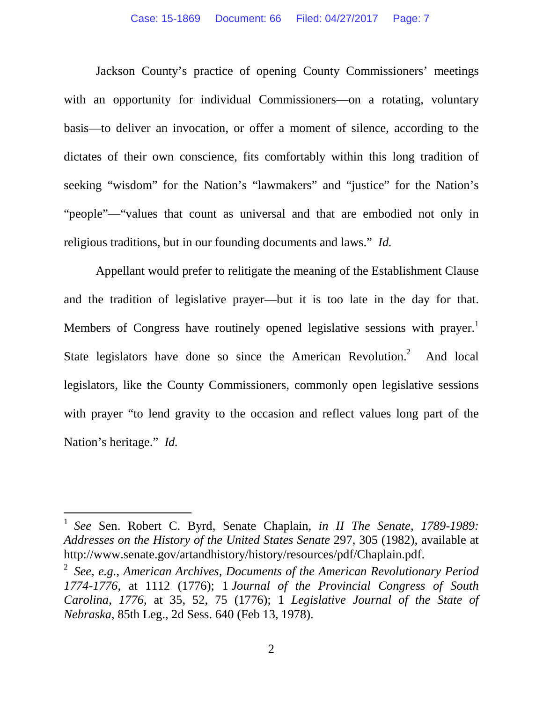Jackson County's practice of opening County Commissioners' meetings with an opportunity for individual Commissioners—on a rotating, voluntary basis—to deliver an invocation, or offer a moment of silence, according to the dictates of their own conscience, fits comfortably within this long tradition of seeking "wisdom" for the Nation's "lawmakers" and "justice" for the Nation's "people"—"values that count as universal and that are embodied not only in religious traditions, but in our founding documents and laws." *Id.*

Appellant would prefer to relitigate the meaning of the Establishment Clause and the tradition of legislative prayer—but it is too late in the day for that. Members of Congress have routinely opened legislative sessions with prayer.<sup>1</sup> State legislators have done so since the American Revolution.<sup>2</sup> And local legislators, like the County Commissioners, commonly open legislative sessions with prayer "to lend gravity to the occasion and reflect values long part of the Nation's heritage." *Id.*

<sup>1</sup> *See* Sen. Robert C. Byrd, Senate Chaplain, *in II The Senate, 1789-1989: Addresses on the History of the United States Senate* 297, 305 (1982), available at http://www.senate.gov/artandhistory/history/resources/pdf/Chaplain.pdf.

<sup>2</sup> *See, e.g.*, *American Archives, Documents of the American Revolutionary Period 1774-1776*, at 1112 (1776); 1 *Journal of the Provincial Congress of South Carolina, 1776*, at 35, 52, 75 (1776); 1 *Legislative Journal of the State of Nebraska*, 85th Leg., 2d Sess. 640 (Feb 13, 1978).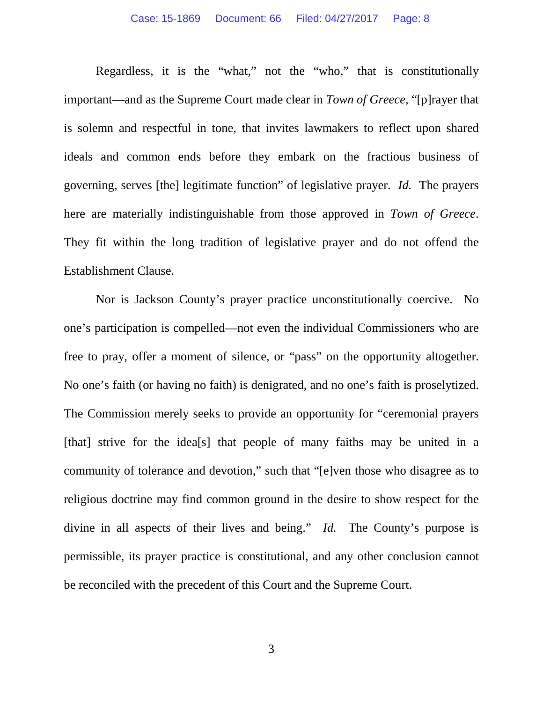Regardless, it is the "what," not the "who," that is constitutionally important—and as the Supreme Court made clear in *Town of Greece*, "[p]rayer that is solemn and respectful in tone, that invites lawmakers to reflect upon shared ideals and common ends before they embark on the fractious business of governing, serves [the] legitimate function" of legislative prayer. *Id.* The prayers here are materially indistinguishable from those approved in *Town of Greece*. They fit within the long tradition of legislative prayer and do not offend the Establishment Clause.

Nor is Jackson County's prayer practice unconstitutionally coercive. No one's participation is compelled—not even the individual Commissioners who are free to pray, offer a moment of silence, or "pass" on the opportunity altogether. No one's faith (or having no faith) is denigrated, and no one's faith is proselytized. The Commission merely seeks to provide an opportunity for "ceremonial prayers [that] strive for the idea<sup>[s]</sup> that people of many faiths may be united in a community of tolerance and devotion," such that "[e]ven those who disagree as to religious doctrine may find common ground in the desire to show respect for the divine in all aspects of their lives and being." *Id.* The County's purpose is permissible, its prayer practice is constitutional, and any other conclusion cannot be reconciled with the precedent of this Court and the Supreme Court.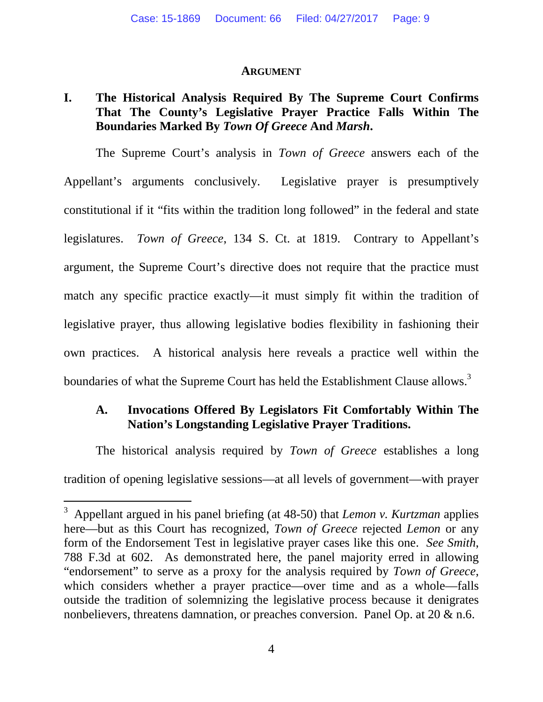#### **ARGUMENT**

### **I. The Historical Analysis Required By The Supreme Court Confirms That The County's Legislative Prayer Practice Falls Within The Boundaries Marked By** *Town Of Greece* **And** *Marsh***.**

The Supreme Court's analysis in *Town of Greece* answers each of the Appellant's arguments conclusively. Legislative prayer is presumptively constitutional if it "fits within the tradition long followed" in the federal and state legislatures. *Town of Greece*, 134 S. Ct. at 1819. Contrary to Appellant's argument, the Supreme Court's directive does not require that the practice must match any specific practice exactly—it must simply fit within the tradition of legislative prayer, thus allowing legislative bodies flexibility in fashioning their own practices. A historical analysis here reveals a practice well within the boundaries of what the Supreme Court has held the Establishment Clause allows.<sup>3</sup>

### **A. Invocations Offered By Legislators Fit Comfortably Within The Nation's Longstanding Legislative Prayer Traditions.**

The historical analysis required by *Town of Greece* establishes a long tradition of opening legislative sessions—at all levels of government—with prayer

<sup>3</sup> Appellant argued in his panel briefing (at 48-50) that *Lemon v. Kurtzman* applies here—but as this Court has recognized, *Town of Greece* rejected *Lemon* or any form of the Endorsement Test in legislative prayer cases like this one. *See Smith*, 788 F.3d at 602. As demonstrated here, the panel majority erred in allowing "endorsement" to serve as a proxy for the analysis required by *Town of Greece*, which considers whether a prayer practice—over time and as a whole—falls outside the tradition of solemnizing the legislative process because it denigrates nonbelievers, threatens damnation, or preaches conversion. Panel Op. at 20  $\&$  n.6.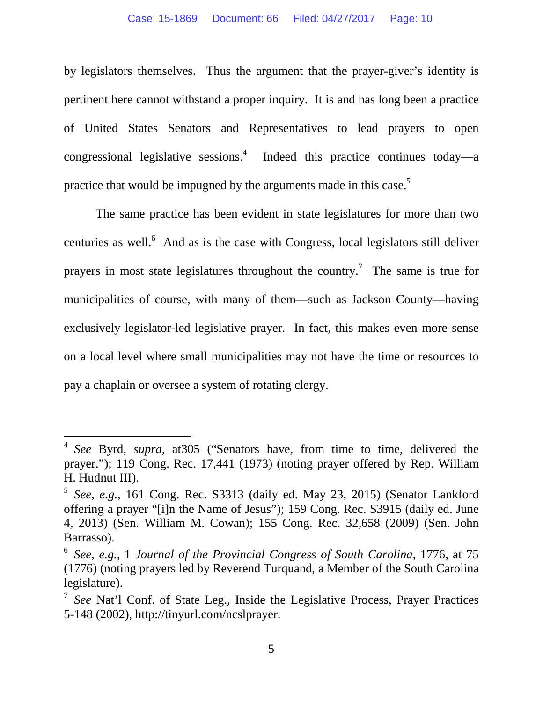by legislators themselves. Thus the argument that the prayer-giver's identity is pertinent here cannot withstand a proper inquiry. It is and has long been a practice of United States Senators and Representatives to lead prayers to open congressional legislative sessions.<sup>4</sup> Indeed this practice continues today—a practice that would be impugned by the arguments made in this case.<sup>5</sup>

The same practice has been evident in state legislatures for more than two centuries as well. $<sup>6</sup>$  And as is the case with Congress, local legislators still deliver</sup> prayers in most state legislatures throughout the country.<sup>7</sup> The same is true for municipalities of course, with many of them—such as Jackson County—having exclusively legislator-led legislative prayer. In fact, this makes even more sense on a local level where small municipalities may not have the time or resources to pay a chaplain or oversee a system of rotating clergy.

<sup>4</sup> *See* Byrd, *supra*, at305 ("Senators have, from time to time, delivered the prayer."); 119 Cong. Rec. 17,441 (1973) (noting prayer offered by Rep. William H. Hudnut III).

<sup>5</sup> *See, e.g.*, 161 Cong. Rec. S3313 (daily ed. May 23, 2015) (Senator Lankford offering a prayer "[i]n the Name of Jesus"); 159 Cong. Rec. S3915 (daily ed. June 4, 2013) (Sen. William M. Cowan); 155 Cong. Rec. 32,658 (2009) (Sen. John Barrasso).

<sup>6</sup> *See, e.g.*, 1 *Journal of the Provincial Congress of South Carolina*, 1776, at 75 (1776) (noting prayers led by Reverend Turquand, a Member of the South Carolina legislature).

<sup>7</sup> *See* Nat'l Conf. of State Leg., Inside the Legislative Process, Prayer Practices 5-148 (2002), http://tinyurl.com/ncslprayer.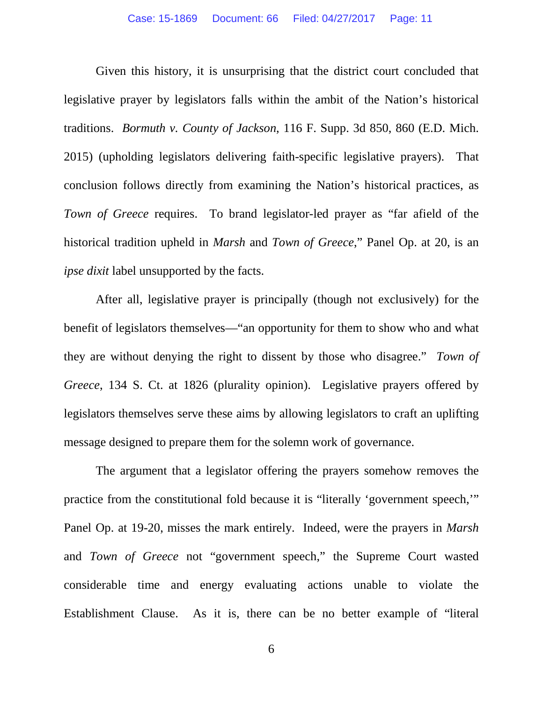Given this history, it is unsurprising that the district court concluded that legislative prayer by legislators falls within the ambit of the Nation's historical traditions. *Bormuth v. County of Jackson*, 116 F. Supp. 3d 850, 860 (E.D. Mich. 2015) (upholding legislators delivering faith-specific legislative prayers). That conclusion follows directly from examining the Nation's historical practices, as *Town of Greece* requires. To brand legislator-led prayer as "far afield of the historical tradition upheld in *Marsh* and *Town of Greece*," Panel Op. at 20, is an *ipse dixit* label unsupported by the facts.

After all, legislative prayer is principally (though not exclusively) for the benefit of legislators themselves—"an opportunity for them to show who and what they are without denying the right to dissent by those who disagree." *Town of Greece*, 134 S. Ct. at 1826 (plurality opinion). Legislative prayers offered by legislators themselves serve these aims by allowing legislators to craft an uplifting message designed to prepare them for the solemn work of governance.

The argument that a legislator offering the prayers somehow removes the practice from the constitutional fold because it is "literally 'government speech,'" Panel Op. at 19-20, misses the mark entirely. Indeed, were the prayers in *Marsh* and *Town of Greece* not "government speech," the Supreme Court wasted considerable time and energy evaluating actions unable to violate the Establishment Clause. As it is, there can be no better example of "literal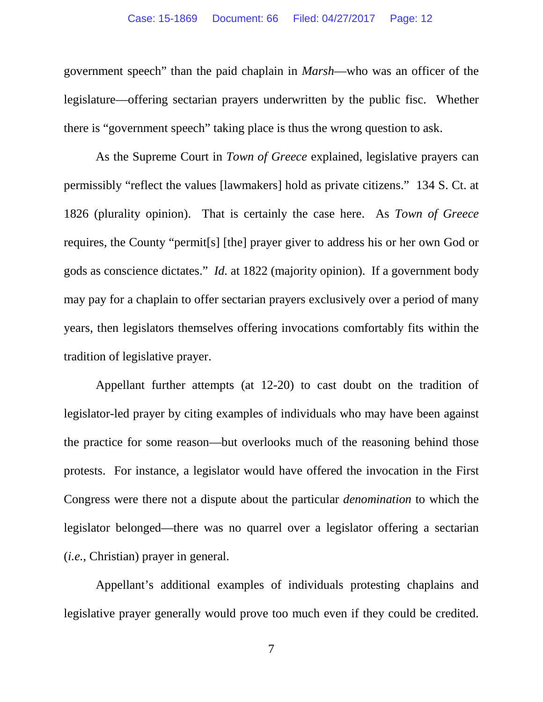government speech" than the paid chaplain in *Marsh*—who was an officer of the legislature—offering sectarian prayers underwritten by the public fisc. Whether there is "government speech" taking place is thus the wrong question to ask.

As the Supreme Court in *Town of Greece* explained, legislative prayers can permissibly "reflect the values [lawmakers] hold as private citizens." 134 S. Ct. at 1826 (plurality opinion). That is certainly the case here. As *Town of Greece* requires, the County "permit[s] [the] prayer giver to address his or her own God or gods as conscience dictates." *Id.* at 1822 (majority opinion). If a government body may pay for a chaplain to offer sectarian prayers exclusively over a period of many years, then legislators themselves offering invocations comfortably fits within the tradition of legislative prayer.

Appellant further attempts (at 12-20) to cast doubt on the tradition of legislator-led prayer by citing examples of individuals who may have been against the practice for some reason—but overlooks much of the reasoning behind those protests. For instance, a legislator would have offered the invocation in the First Congress were there not a dispute about the particular *denomination* to which the legislator belonged—there was no quarrel over a legislator offering a sectarian (*i.e.*, Christian) prayer in general.

Appellant's additional examples of individuals protesting chaplains and legislative prayer generally would prove too much even if they could be credited.

7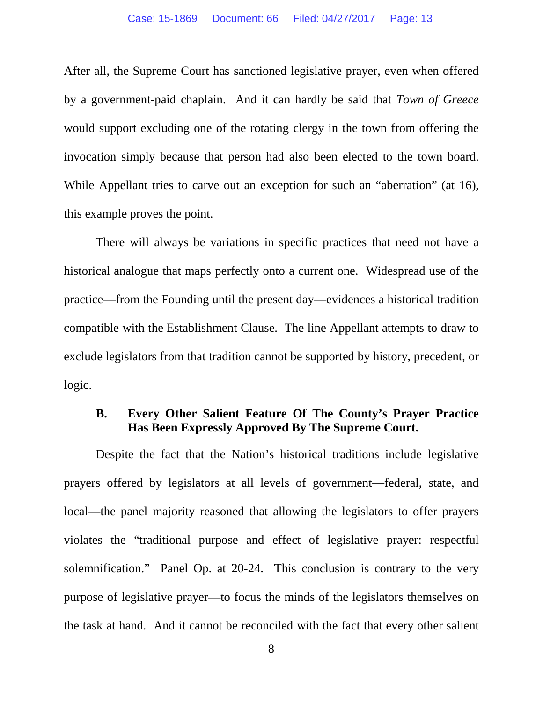After all, the Supreme Court has sanctioned legislative prayer, even when offered by a government-paid chaplain. And it can hardly be said that *Town of Greece*  would support excluding one of the rotating clergy in the town from offering the invocation simply because that person had also been elected to the town board. While Appellant tries to carve out an exception for such an "aberration" (at 16), this example proves the point.

There will always be variations in specific practices that need not have a historical analogue that maps perfectly onto a current one. Widespread use of the practice—from the Founding until the present day—evidences a historical tradition compatible with the Establishment Clause. The line Appellant attempts to draw to exclude legislators from that tradition cannot be supported by history, precedent, or logic.

### **B. Every Other Salient Feature Of The County's Prayer Practice Has Been Expressly Approved By The Supreme Court.**

Despite the fact that the Nation's historical traditions include legislative prayers offered by legislators at all levels of government—federal, state, and local—the panel majority reasoned that allowing the legislators to offer prayers violates the "traditional purpose and effect of legislative prayer: respectful solemnification." Panel Op. at 20-24. This conclusion is contrary to the very purpose of legislative prayer—to focus the minds of the legislators themselves on the task at hand. And it cannot be reconciled with the fact that every other salient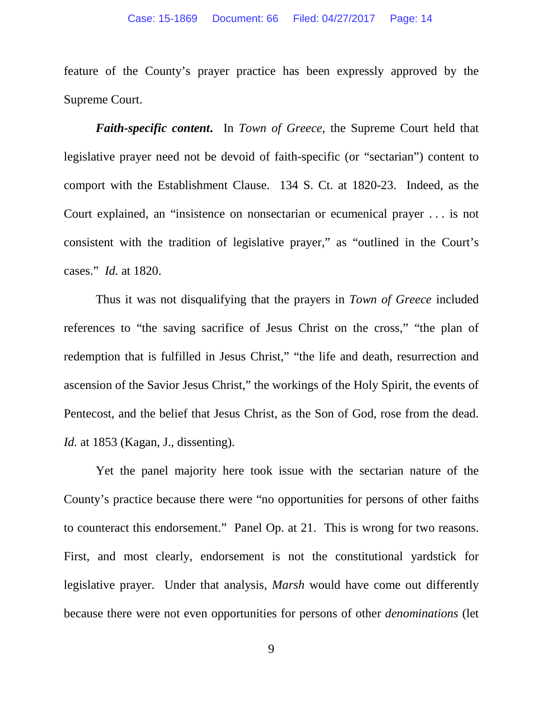feature of the County's prayer practice has been expressly approved by the Supreme Court.

*Faith-specific content***.** In *Town of Greece*, the Supreme Court held that legislative prayer need not be devoid of faith-specific (or "sectarian") content to comport with the Establishment Clause. 134 S. Ct. at 1820-23. Indeed, as the Court explained, an "insistence on nonsectarian or ecumenical prayer . . . is not consistent with the tradition of legislative prayer," as "outlined in the Court's cases." *Id.* at 1820.

Thus it was not disqualifying that the prayers in *Town of Greece* included references to "the saving sacrifice of Jesus Christ on the cross," "the plan of redemption that is fulfilled in Jesus Christ," "the life and death, resurrection and ascension of the Savior Jesus Christ," the workings of the Holy Spirit, the events of Pentecost, and the belief that Jesus Christ, as the Son of God, rose from the dead. *Id.* at 1853 (Kagan, J., dissenting).

Yet the panel majority here took issue with the sectarian nature of the County's practice because there were "no opportunities for persons of other faiths to counteract this endorsement." Panel Op. at 21. This is wrong for two reasons. First, and most clearly, endorsement is not the constitutional yardstick for legislative prayer. Under that analysis, *Marsh* would have come out differently because there were not even opportunities for persons of other *denominations* (let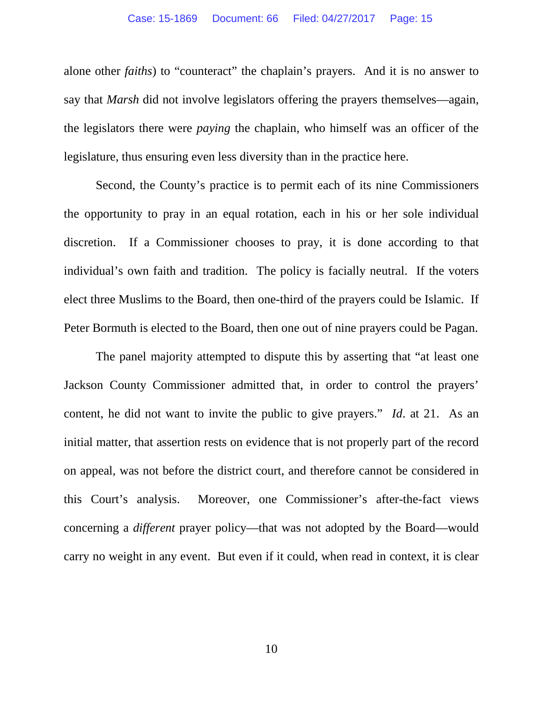alone other *faiths*) to "counteract" the chaplain's prayers. And it is no answer to say that *Marsh* did not involve legislators offering the prayers themselves—again, the legislators there were *paying* the chaplain, who himself was an officer of the legislature, thus ensuring even less diversity than in the practice here.

Second, the County's practice is to permit each of its nine Commissioners the opportunity to pray in an equal rotation, each in his or her sole individual discretion. If a Commissioner chooses to pray, it is done according to that individual's own faith and tradition. The policy is facially neutral. If the voters elect three Muslims to the Board, then one-third of the prayers could be Islamic. If Peter Bormuth is elected to the Board, then one out of nine prayers could be Pagan.

The panel majority attempted to dispute this by asserting that "at least one Jackson County Commissioner admitted that, in order to control the prayers' content, he did not want to invite the public to give prayers." *Id*. at 21. As an initial matter, that assertion rests on evidence that is not properly part of the record on appeal, was not before the district court, and therefore cannot be considered in this Court's analysis. Moreover, one Commissioner's after-the-fact views concerning a *different* prayer policy—that was not adopted by the Board—would carry no weight in any event. But even if it could, when read in context, it is clear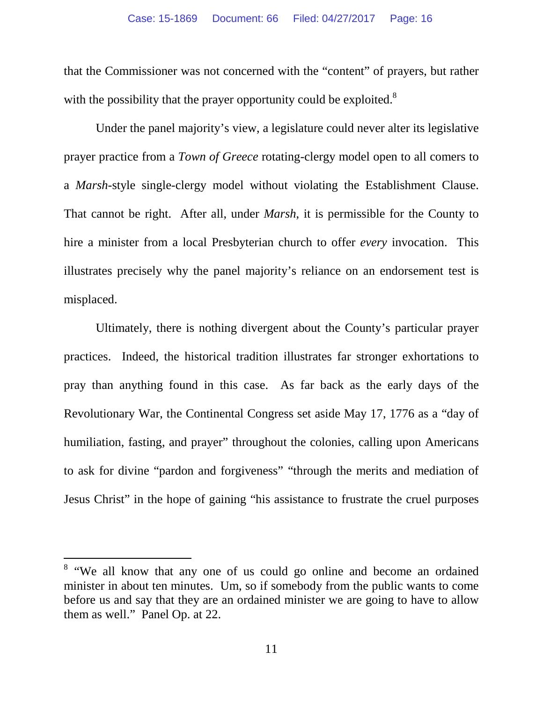that the Commissioner was not concerned with the "content" of prayers, but rather with the possibility that the prayer opportunity could be exploited.<sup>8</sup>

Under the panel majority's view, a legislature could never alter its legislative prayer practice from a *Town of Greece* rotating-clergy model open to all comers to a *Marsh*-style single-clergy model without violating the Establishment Clause. That cannot be right. After all, under *Marsh*, it is permissible for the County to hire a minister from a local Presbyterian church to offer *every* invocation. This illustrates precisely why the panel majority's reliance on an endorsement test is misplaced.

Ultimately, there is nothing divergent about the County's particular prayer practices. Indeed, the historical tradition illustrates far stronger exhortations to pray than anything found in this case. As far back as the early days of the Revolutionary War, the Continental Congress set aside May 17, 1776 as a "day of humiliation, fasting, and prayer" throughout the colonies, calling upon Americans to ask for divine "pardon and forgiveness" "through the merits and mediation of Jesus Christ" in the hope of gaining "his assistance to frustrate the cruel purposes

<sup>&</sup>lt;sup>8</sup> "We all know that any one of us could go online and become an ordained minister in about ten minutes. Um, so if somebody from the public wants to come before us and say that they are an ordained minister we are going to have to allow them as well." Panel Op. at 22.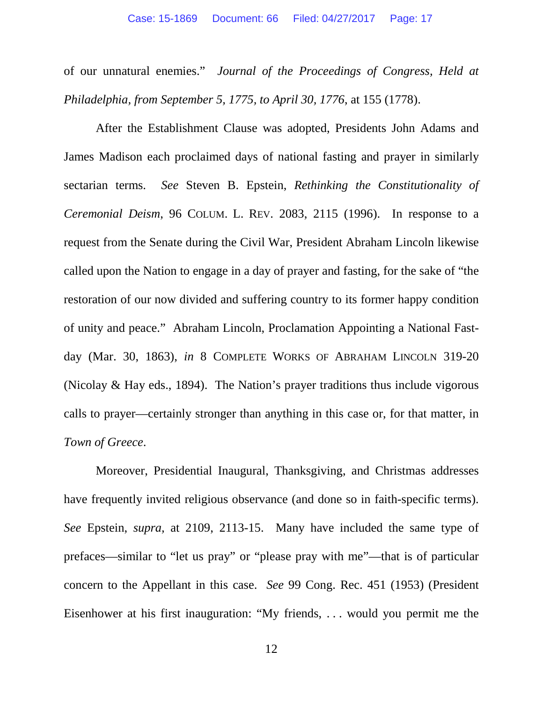of our unnatural enemies." *Journal of the Proceedings of Congress, Held at Philadelphia, from September 5, 1775, to April 30, 1776*, at 155 (1778).

After the Establishment Clause was adopted, Presidents John Adams and James Madison each proclaimed days of national fasting and prayer in similarly sectarian terms. *See* Steven B. Epstein, *Rethinking the Constitutionality of Ceremonial Deism*, 96 COLUM. L. REV. 2083, 2115 (1996). In response to a request from the Senate during the Civil War, President Abraham Lincoln likewise called upon the Nation to engage in a day of prayer and fasting, for the sake of "the restoration of our now divided and suffering country to its former happy condition of unity and peace." Abraham Lincoln, Proclamation Appointing a National Fastday (Mar. 30, 1863), *in* 8 COMPLETE WORKS OF ABRAHAM LINCOLN 319-20 (Nicolay & Hay eds., 1894). The Nation's prayer traditions thus include vigorous calls to prayer—certainly stronger than anything in this case or, for that matter, in *Town of Greece*.

Moreover, Presidential Inaugural, Thanksgiving, and Christmas addresses have frequently invited religious observance (and done so in faith-specific terms). *See* Epstein, *supra,* at 2109, 2113-15. Many have included the same type of prefaces—similar to "let us pray" or "please pray with me"—that is of particular concern to the Appellant in this case. *See* 99 Cong. Rec. 451 (1953) (President Eisenhower at his first inauguration: "My friends, . . . would you permit me the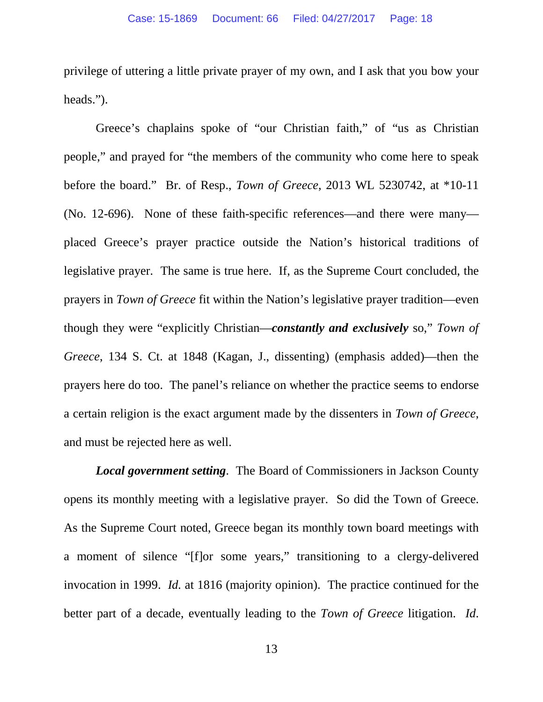privilege of uttering a little private prayer of my own, and I ask that you bow your heads.").

Greece's chaplains spoke of "our Christian faith," of "us as Christian people," and prayed for "the members of the community who come here to speak before the board." Br. of Resp., *Town of Greece*, 2013 WL 5230742, at \*10-11 (No. 12-696). None of these faith-specific references—and there were many placed Greece's prayer practice outside the Nation's historical traditions of legislative prayer. The same is true here. If, as the Supreme Court concluded, the prayers in *Town of Greece* fit within the Nation's legislative prayer tradition—even though they were "explicitly Christian—*constantly and exclusively* so," *Town of Greece*, 134 S. Ct. at 1848 (Kagan, J., dissenting) (emphasis added)—then the prayers here do too. The panel's reliance on whether the practice seems to endorse a certain religion is the exact argument made by the dissenters in *Town of Greece*, and must be rejected here as well.

*Local government setting*. The Board of Commissioners in Jackson County opens its monthly meeting with a legislative prayer. So did the Town of Greece. As the Supreme Court noted, Greece began its monthly town board meetings with a moment of silence "[f]or some years," transitioning to a clergy-delivered invocation in 1999. *Id.* at 1816 (majority opinion). The practice continued for the better part of a decade, eventually leading to the *Town of Greece* litigation. *Id*.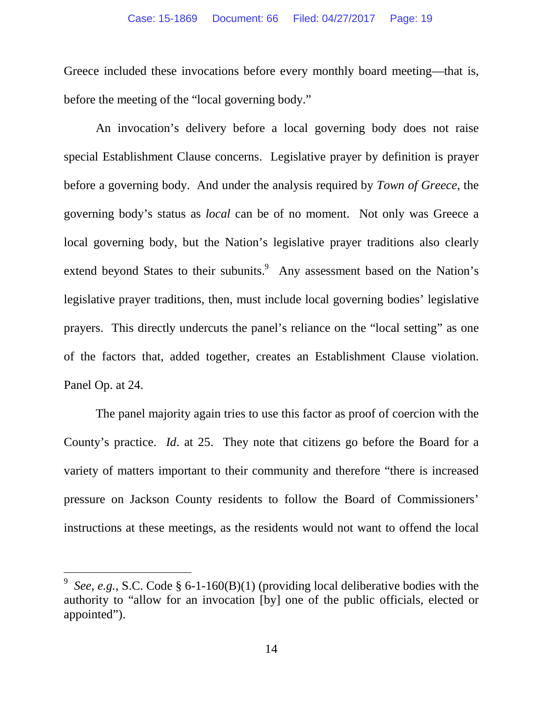Greece included these invocations before every monthly board meeting—that is, before the meeting of the "local governing body."

An invocation's delivery before a local governing body does not raise special Establishment Clause concerns. Legislative prayer by definition is prayer before a governing body. And under the analysis required by *Town of Greece*, the governing body's status as *local* can be of no moment. Not only was Greece a local governing body, but the Nation's legislative prayer traditions also clearly extend beyond States to their subunits.<sup>9</sup> Any assessment based on the Nation's legislative prayer traditions, then, must include local governing bodies' legislative prayers. This directly undercuts the panel's reliance on the "local setting" as one of the factors that, added together, creates an Establishment Clause violation. Panel Op. at 24.

The panel majority again tries to use this factor as proof of coercion with the County's practice. *Id*. at 25. They note that citizens go before the Board for a variety of matters important to their community and therefore "there is increased pressure on Jackson County residents to follow the Board of Commissioners' instructions at these meetings, as the residents would not want to offend the local

<sup>9</sup> *See, e.g.*, S.C. Code § 6-1-160(B)(1) (providing local deliberative bodies with the authority to "allow for an invocation [by] one of the public officials, elected or appointed").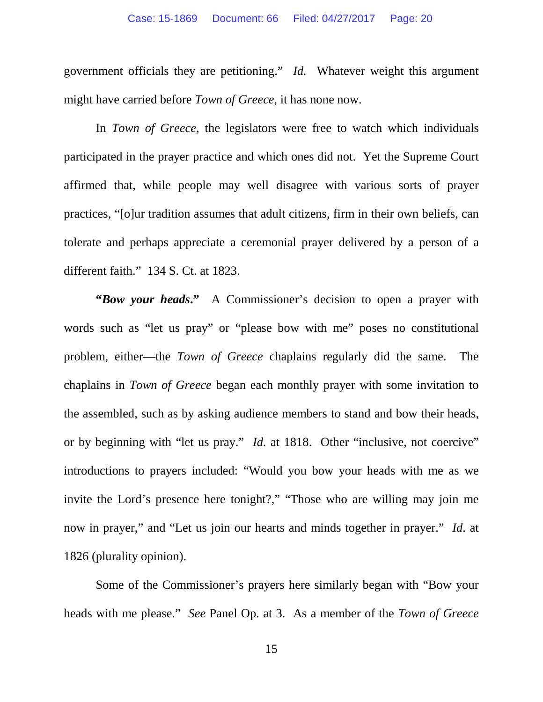government officials they are petitioning." *Id.* Whatever weight this argument might have carried before *Town of Greece*, it has none now.

In *Town of Greece*, the legislators were free to watch which individuals participated in the prayer practice and which ones did not. Yet the Supreme Court affirmed that, while people may well disagree with various sorts of prayer practices, "[o]ur tradition assumes that adult citizens, firm in their own beliefs, can tolerate and perhaps appreciate a ceremonial prayer delivered by a person of a different faith." 134 S. Ct. at 1823.

**"Bow your heads."** A Commissioner's decision to open a prayer with words such as "let us pray" or "please bow with me" poses no constitutional problem, either—the *Town of Greece* chaplains regularly did the same. The chaplains in *Town of Greece* began each monthly prayer with some invitation to the assembled, such as by asking audience members to stand and bow their heads, or by beginning with "let us pray." *Id.* at 1818. Other "inclusive, not coercive" introductions to prayers included: "Would you bow your heads with me as we invite the Lord's presence here tonight?," "Those who are willing may join me now in prayer," and "Let us join our hearts and minds together in prayer." *Id*. at 1826 (plurality opinion).

Some of the Commissioner's prayers here similarly began with "Bow your heads with me please." *See* Panel Op. at 3. As a member of the *Town of Greece*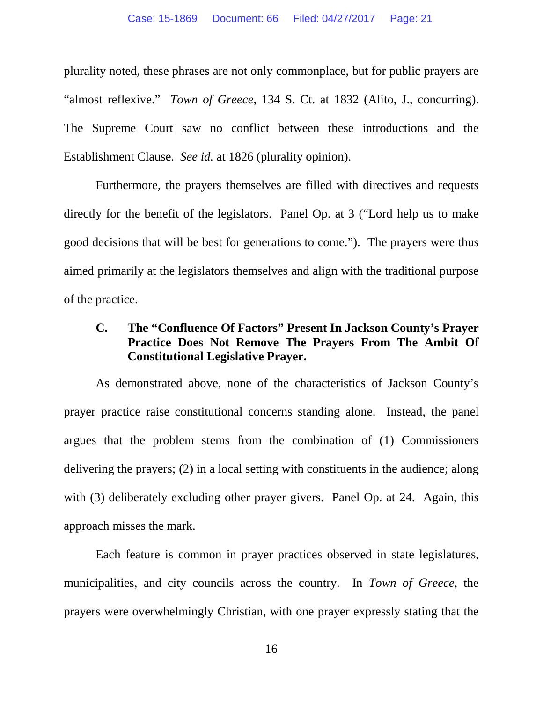plurality noted, these phrases are not only commonplace, but for public prayers are "almost reflexive." *Town of Greece*, 134 S. Ct. at 1832 (Alito, J., concurring). The Supreme Court saw no conflict between these introductions and the Establishment Clause. *See id.* at 1826 (plurality opinion).

Furthermore, the prayers themselves are filled with directives and requests directly for the benefit of the legislators. Panel Op. at 3 ("Lord help us to make good decisions that will be best for generations to come."). The prayers were thus aimed primarily at the legislators themselves and align with the traditional purpose of the practice.

### **C. The "Confluence Of Factors" Present In Jackson County's Prayer Practice Does Not Remove The Prayers From The Ambit Of Constitutional Legislative Prayer.**

As demonstrated above, none of the characteristics of Jackson County's prayer practice raise constitutional concerns standing alone. Instead, the panel argues that the problem stems from the combination of (1) Commissioners delivering the prayers; (2) in a local setting with constituents in the audience; along with (3) deliberately excluding other prayer givers. Panel Op. at 24. Again, this approach misses the mark.

Each feature is common in prayer practices observed in state legislatures, municipalities, and city councils across the country. In *Town of Greece*, the prayers were overwhelmingly Christian, with one prayer expressly stating that the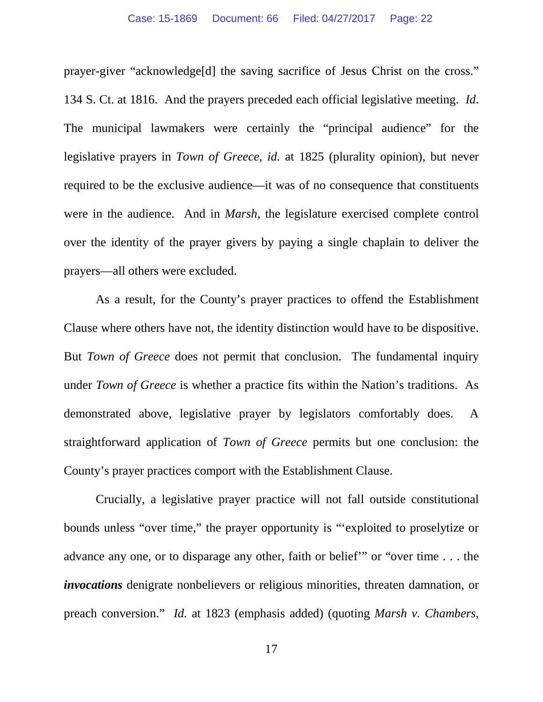prayer-giver "acknowledge[d] the saving sacrifice of Jesus Christ on the cross." 134 S. Ct. at 1816. And the prayers preceded each official legislative meeting. *Id*. The municipal lawmakers were certainly the "principal audience" for the legislative prayers in *Town of Greece*, *id.* at 1825 (plurality opinion), but never required to be the exclusive audience—it was of no consequence that constituents were in the audience. And in *Marsh*, the legislature exercised complete control over the identity of the prayer givers by paying a single chaplain to deliver the prayers—all others were excluded.

As a result, for the County's prayer practices to offend the Establishment Clause where others have not, the identity distinction would have to be dispositive. But *Town of Greece* does not permit that conclusion. The fundamental inquiry under *Town of Greece* is whether a practice fits within the Nation's traditions. As demonstrated above, legislative prayer by legislators comfortably does. A straightforward application of *Town of Greece* permits but one conclusion: the County's prayer practices comport with the Establishment Clause.

Crucially, a legislative prayer practice will not fall outside constitutional bounds unless "over time," the prayer opportunity is "'exploited to proselytize or advance any one, or to disparage any other, faith or belief'" or "over time . . . the *invocations* denigrate nonbelievers or religious minorities, threaten damnation, or preach conversion." *Id.* at 1823 (emphasis added) (quoting *Marsh v. Chambers*,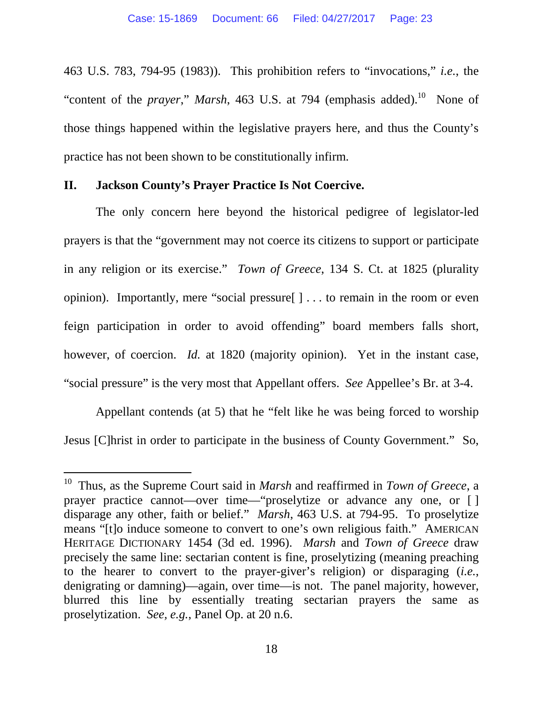463 U.S. 783, 794-95 (1983)). This prohibition refers to "invocations," *i.e.*, the "content of the *prayer*," *Marsh*, 463 U.S. at 794 (emphasis added).<sup>10</sup> None of those things happened within the legislative prayers here, and thus the County's practice has not been shown to be constitutionally infirm.

#### **II. Jackson County's Prayer Practice Is Not Coercive.**

The only concern here beyond the historical pedigree of legislator-led prayers is that the "government may not coerce its citizens to support or participate in any religion or its exercise." *Town of Greece*, 134 S. Ct. at 1825 (plurality opinion). Importantly, mere "social pressure[ ] . . . to remain in the room or even feign participation in order to avoid offending" board members falls short, however, of coercion. *Id.* at 1820 (majority opinion). Yet in the instant case, "social pressure" is the very most that Appellant offers. *See* Appellee's Br. at 3-4.

Appellant contends (at 5) that he "felt like he was being forced to worship Jesus [C]hrist in order to participate in the business of County Government." So,

<sup>10</sup> Thus, as the Supreme Court said in *Marsh* and reaffirmed in *Town of Greece*, a prayer practice cannot—over time—"proselytize or advance any one, or [ ] disparage any other, faith or belief." *Marsh*, 463 U.S. at 794-95. To proselytize means "[t]o induce someone to convert to one's own religious faith." AMERICAN HERITAGE DICTIONARY 1454 (3d ed. 1996). *Marsh* and *Town of Greece* draw precisely the same line: sectarian content is fine, proselytizing (meaning preaching to the hearer to convert to the prayer-giver's religion) or disparaging (*i.e.*, denigrating or damning)—again, over time—is not. The panel majority, however, blurred this line by essentially treating sectarian prayers the same as proselytization. *See, e.g.*, Panel Op. at 20 n.6.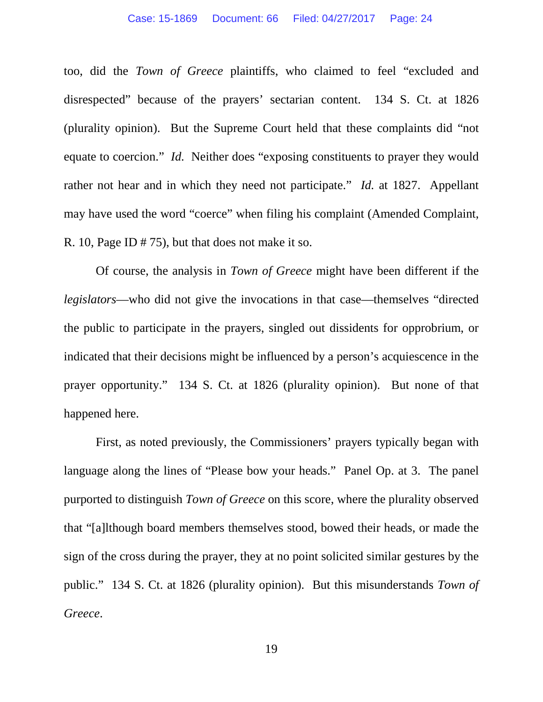too, did the *Town of Greece* plaintiffs, who claimed to feel "excluded and disrespected" because of the prayers' sectarian content. 134 S. Ct. at 1826 (plurality opinion). But the Supreme Court held that these complaints did "not equate to coercion." *Id.* Neither does "exposing constituents to prayer they would rather not hear and in which they need not participate." *Id.* at 1827. Appellant may have used the word "coerce" when filing his complaint (Amended Complaint, R. 10, Page ID # 75), but that does not make it so.

Of course, the analysis in *Town of Greece* might have been different if the *legislators*—who did not give the invocations in that case—themselves "directed the public to participate in the prayers, singled out dissidents for opprobrium, or indicated that their decisions might be influenced by a person's acquiescence in the prayer opportunity." 134 S. Ct. at 1826 (plurality opinion). But none of that happened here.

First, as noted previously, the Commissioners' prayers typically began with language along the lines of "Please bow your heads." Panel Op. at 3. The panel purported to distinguish *Town of Greece* on this score, where the plurality observed that "[a]lthough board members themselves stood, bowed their heads, or made the sign of the cross during the prayer, they at no point solicited similar gestures by the public." 134 S. Ct. at 1826 (plurality opinion). But this misunderstands *Town of Greece*.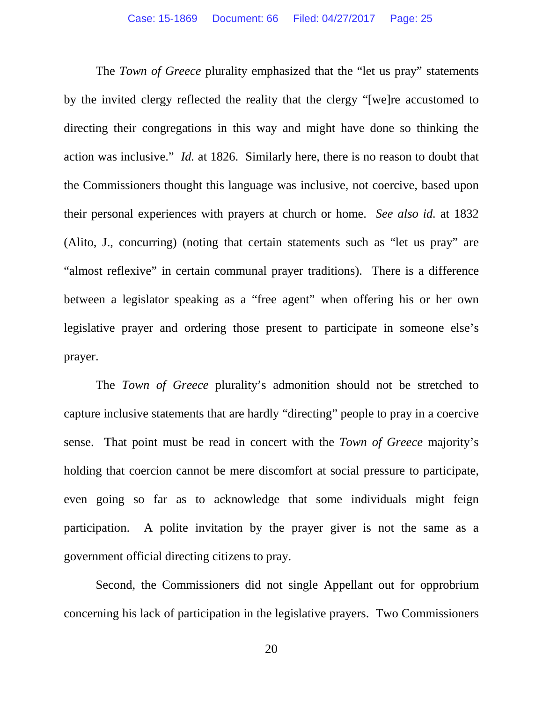The *Town of Greece* plurality emphasized that the "let us pray" statements by the invited clergy reflected the reality that the clergy "[we]re accustomed to directing their congregations in this way and might have done so thinking the action was inclusive." *Id.* at 1826. Similarly here, there is no reason to doubt that the Commissioners thought this language was inclusive, not coercive, based upon their personal experiences with prayers at church or home. *See also id.* at 1832 (Alito, J., concurring) (noting that certain statements such as "let us pray" are "almost reflexive" in certain communal prayer traditions). There is a difference between a legislator speaking as a "free agent" when offering his or her own legislative prayer and ordering those present to participate in someone else's prayer.

The *Town of Greece* plurality's admonition should not be stretched to capture inclusive statements that are hardly "directing" people to pray in a coercive sense. That point must be read in concert with the *Town of Greece* majority's holding that coercion cannot be mere discomfort at social pressure to participate, even going so far as to acknowledge that some individuals might feign participation. A polite invitation by the prayer giver is not the same as a government official directing citizens to pray.

Second, the Commissioners did not single Appellant out for opprobrium concerning his lack of participation in the legislative prayers. Two Commissioners

20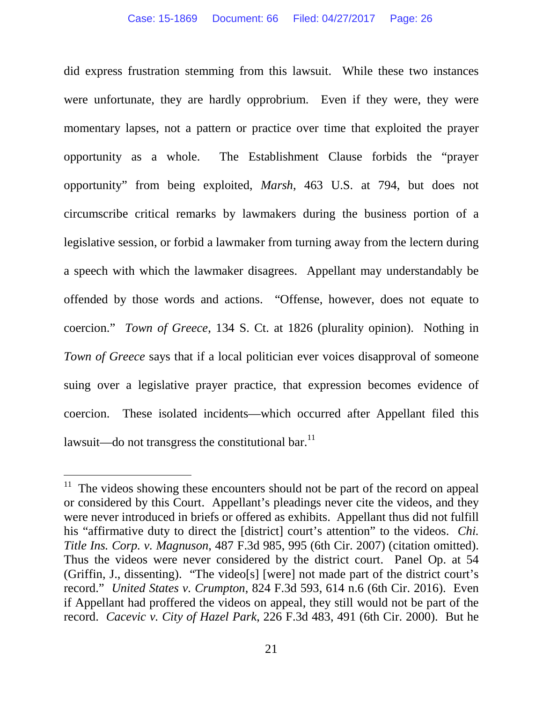did express frustration stemming from this lawsuit. While these two instances were unfortunate, they are hardly opprobrium. Even if they were, they were momentary lapses, not a pattern or practice over time that exploited the prayer opportunity as a whole. The Establishment Clause forbids the "prayer opportunity" from being exploited, *Marsh*, 463 U.S. at 794, but does not circumscribe critical remarks by lawmakers during the business portion of a legislative session, or forbid a lawmaker from turning away from the lectern during a speech with which the lawmaker disagrees. Appellant may understandably be offended by those words and actions. "Offense, however, does not equate to coercion." *Town of Greece*, 134 S. Ct. at 1826 (plurality opinion). Nothing in *Town of Greece* says that if a local politician ever voices disapproval of someone suing over a legislative prayer practice, that expression becomes evidence of coercion. These isolated incidents—which occurred after Appellant filed this lawsuit—do not transgress the constitutional bar. $^{11}$ 

 $11$  The videos showing these encounters should not be part of the record on appeal or considered by this Court. Appellant's pleadings never cite the videos, and they were never introduced in briefs or offered as exhibits. Appellant thus did not fulfill his "affirmative duty to direct the [district] court's attention" to the videos. *Chi. Title Ins. Corp. v. Magnuson*, 487 F.3d 985, 995 (6th Cir. 2007) (citation omitted). Thus the videos were never considered by the district court. Panel Op. at 54 (Griffin, J., dissenting). "The video[s] [were] not made part of the district court's record." *United States v. Crumpton*, 824 F.3d 593, 614 n.6 (6th Cir. 2016). Even if Appellant had proffered the videos on appeal, they still would not be part of the record. *Cacevic v. City of Hazel Park*, 226 F.3d 483, 491 (6th Cir. 2000). But he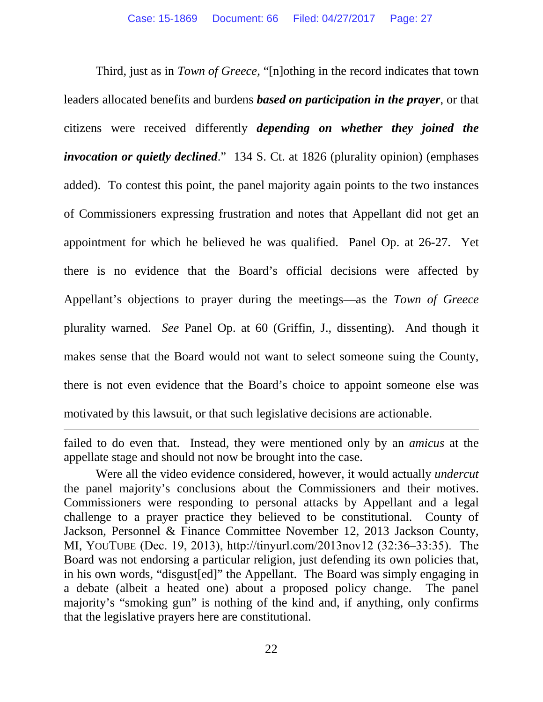Third, just as in *Town of Greece*, "[n]othing in the record indicates that town leaders allocated benefits and burdens *based on participation in the prayer*, or that citizens were received differently *depending on whether they joined the invocation or quietly declined*." 134 S. Ct. at 1826 (plurality opinion) (emphases added). To contest this point, the panel majority again points to the two instances of Commissioners expressing frustration and notes that Appellant did not get an appointment for which he believed he was qualified. Panel Op. at 26-27. Yet there is no evidence that the Board's official decisions were affected by Appellant's objections to prayer during the meetings—as the *Town of Greece* plurality warned. *See* Panel Op. at 60 (Griffin, J., dissenting). And though it makes sense that the Board would not want to select someone suing the County, there is not even evidence that the Board's choice to appoint someone else was motivated by this lawsuit, or that such legislative decisions are actionable.

failed to do even that. Instead, they were mentioned only by an *amicus* at the appellate stage and should not now be brought into the case.

Were all the video evidence considered, however, it would actually *undercut* the panel majority's conclusions about the Commissioners and their motives. Commissioners were responding to personal attacks by Appellant and a legal challenge to a prayer practice they believed to be constitutional. County of Jackson, Personnel & Finance Committee November 12, 2013 Jackson County, MI, YOUTUBE (Dec. 19, 2013), http://tinyurl.com/2013nov12 (32:36‒33:35). The Board was not endorsing a particular religion, just defending its own policies that, in his own words, "disgust[ed]" the Appellant. The Board was simply engaging in a debate (albeit a heated one) about a proposed policy change. The panel majority's "smoking gun" is nothing of the kind and, if anything, only confirms that the legislative prayers here are constitutional.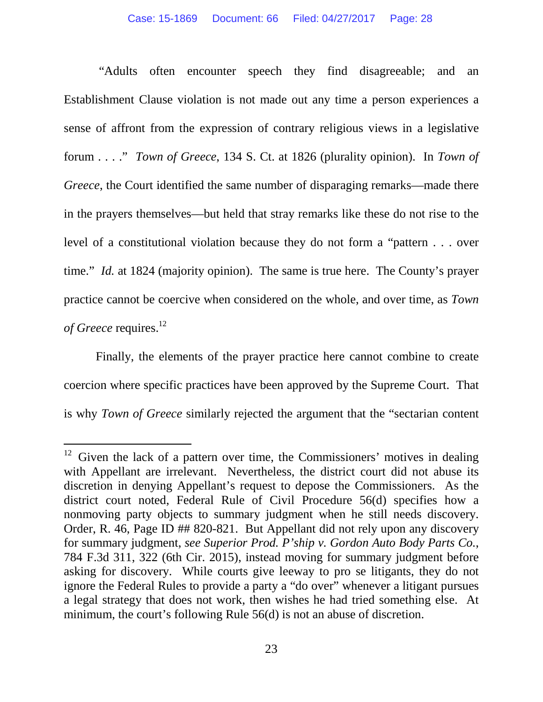"Adults often encounter speech they find disagreeable; and an Establishment Clause violation is not made out any time a person experiences a sense of affront from the expression of contrary religious views in a legislative forum . . . ." *Town of Greece*, 134 S. Ct. at 1826 (plurality opinion). In *Town of Greece*, the Court identified the same number of disparaging remarks—made there in the prayers themselves—but held that stray remarks like these do not rise to the level of a constitutional violation because they do not form a "pattern . . . over time." *Id.* at 1824 (majority opinion). The same is true here. The County's prayer practice cannot be coercive when considered on the whole, and over time, as *Town of Greece* requires.<sup>12</sup>

Finally, the elements of the prayer practice here cannot combine to create coercion where specific practices have been approved by the Supreme Court. That is why *Town of Greece* similarly rejected the argument that the "sectarian content

 $12$  Given the lack of a pattern over time, the Commissioners' motives in dealing with Appellant are irrelevant. Nevertheless, the district court did not abuse its discretion in denying Appellant's request to depose the Commissioners. As the district court noted, Federal Rule of Civil Procedure 56(d) specifies how a nonmoving party objects to summary judgment when he still needs discovery. Order, R. 46, Page ID ## 820-821. But Appellant did not rely upon any discovery for summary judgment, *see Superior Prod. P'ship v. Gordon Auto Body Parts Co.*, 784 F.3d 311, 322 (6th Cir. 2015), instead moving for summary judgment before asking for discovery. While courts give leeway to pro se litigants, they do not ignore the Federal Rules to provide a party a "do over" whenever a litigant pursues a legal strategy that does not work, then wishes he had tried something else. At minimum, the court's following Rule 56(d) is not an abuse of discretion.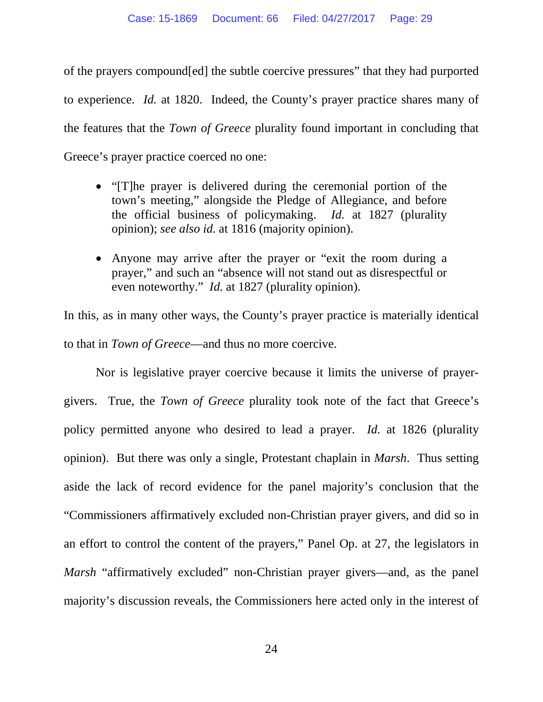of the prayers compound[ed] the subtle coercive pressures" that they had purported to experience. *Id.* at 1820. Indeed, the County's prayer practice shares many of the features that the *Town of Greece* plurality found important in concluding that Greece's prayer practice coerced no one:

- "[T]he prayer is delivered during the ceremonial portion of the town's meeting," alongside the Pledge of Allegiance, and before the official business of policymaking. *Id.* at 1827 (plurality opinion); *see also id.* at 1816 (majority opinion).
- Anyone may arrive after the prayer or "exit the room during a prayer," and such an "absence will not stand out as disrespectful or even noteworthy." *Id.* at 1827 (plurality opinion).

In this, as in many other ways, the County's prayer practice is materially identical to that in *Town of Greece*—and thus no more coercive.

Nor is legislative prayer coercive because it limits the universe of prayergivers. True, the *Town of Greece* plurality took note of the fact that Greece's policy permitted anyone who desired to lead a prayer. *Id.* at 1826 (plurality opinion). But there was only a single, Protestant chaplain in *Marsh*. Thus setting aside the lack of record evidence for the panel majority's conclusion that the "Commissioners affirmatively excluded non-Christian prayer givers, and did so in an effort to control the content of the prayers," Panel Op. at 27, the legislators in *Marsh* "affirmatively excluded" non-Christian prayer givers—and, as the panel majority's discussion reveals, the Commissioners here acted only in the interest of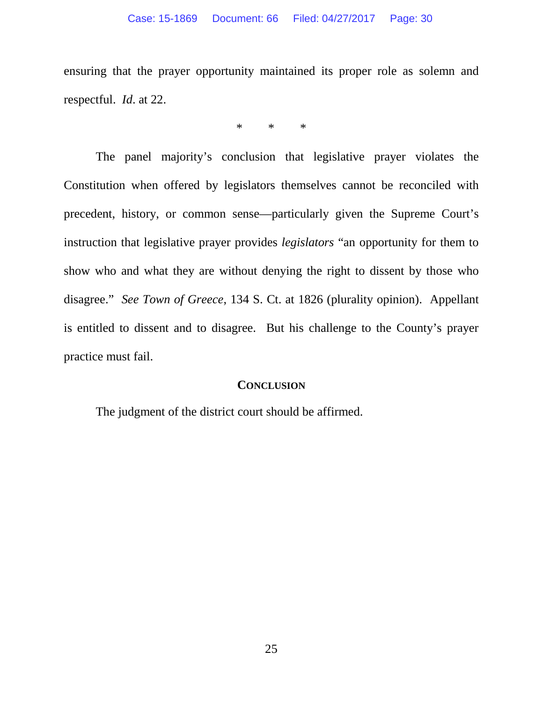ensuring that the prayer opportunity maintained its proper role as solemn and respectful. *Id*. at 22.

\* \* \*

The panel majority's conclusion that legislative prayer violates the Constitution when offered by legislators themselves cannot be reconciled with precedent, history, or common sense—particularly given the Supreme Court's instruction that legislative prayer provides *legislators* "an opportunity for them to show who and what they are without denying the right to dissent by those who disagree." *See Town of Greece*, 134 S. Ct. at 1826 (plurality opinion). Appellant is entitled to dissent and to disagree. But his challenge to the County's prayer practice must fail.

#### **CONCLUSION**

The judgment of the district court should be affirmed.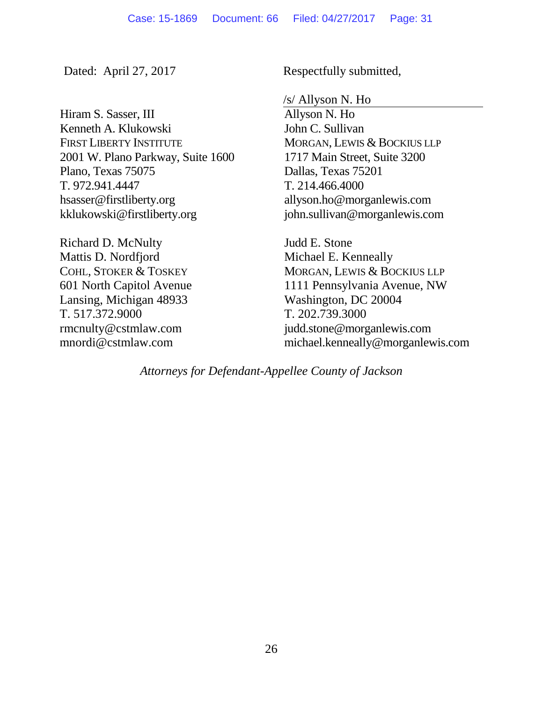Hiram S. Sasser, III Kenneth A. Klukowski FIRST LIBERTY INSTITUTE 2001 W. Plano Parkway, Suite 1600 Plano, Texas 75075 T. 972.941.4447 hsasser@firstliberty.org kklukowski@firstliberty.org

Richard D. McNulty Mattis D. Nordfjord COHL, STOKER & TOSKEY 601 North Capitol Avenue Lansing, Michigan 48933 T. 517.372.9000 rmcnulty@cstmlaw.com mnordi@cstmlaw.com

Dated: April 27, 2017 Respectfully submitted,

/s/ Allyson N. Ho

Allyson N. Ho John C. Sullivan MORGAN, LEWIS & BOCKIUS LLP 1717 Main Street, Suite 3200 Dallas, Texas 75201 T. 214.466.4000 allyson.ho@morganlewis.com john.sullivan@morganlewis.com

Judd E. Stone Michael E. Kenneally MORGAN, LEWIS & BOCKIUS LLP 1111 Pennsylvania Avenue, NW Washington, DC 20004 T. 202.739.3000 judd.stone@morganlewis.com michael.kenneally@morganlewis.com

*Attorneys for Defendant-Appellee County of Jackson*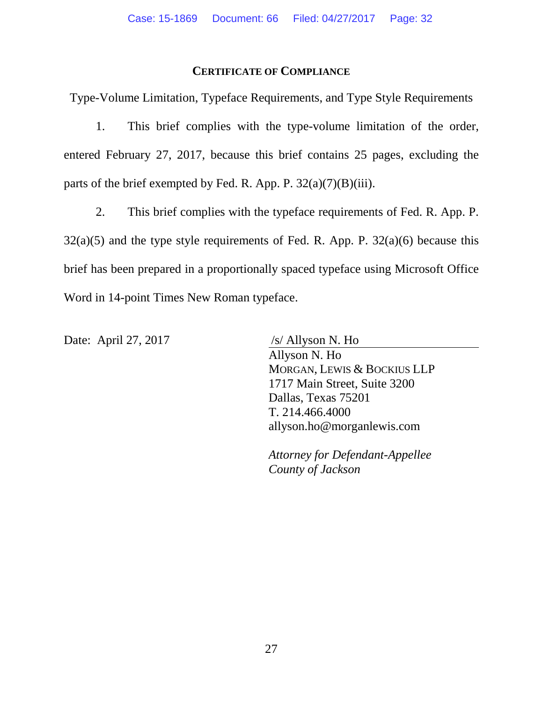#### **CERTIFICATE OF COMPLIANCE**

Type-Volume Limitation, Typeface Requirements, and Type Style Requirements

1. This brief complies with the type-volume limitation of the order, entered February 27, 2017, because this brief contains 25 pages, excluding the parts of the brief exempted by Fed. R. App. P.  $32(a)(7)(B)(iii)$ .

2. This brief complies with the typeface requirements of Fed. R. App. P.  $32(a)(5)$  and the type style requirements of Fed. R. App. P.  $32(a)(6)$  because this brief has been prepared in a proportionally spaced typeface using Microsoft Office Word in 14-point Times New Roman typeface.

Date: April 27, 2017 /s/ Allyson N. Ho

Allyson N. Ho MORGAN, LEWIS & BOCKIUS LLP 1717 Main Street, Suite 3200 Dallas, Texas 75201 T. 214.466.4000 allyson.ho@morganlewis.com

*Attorney for Defendant-Appellee County of Jackson*